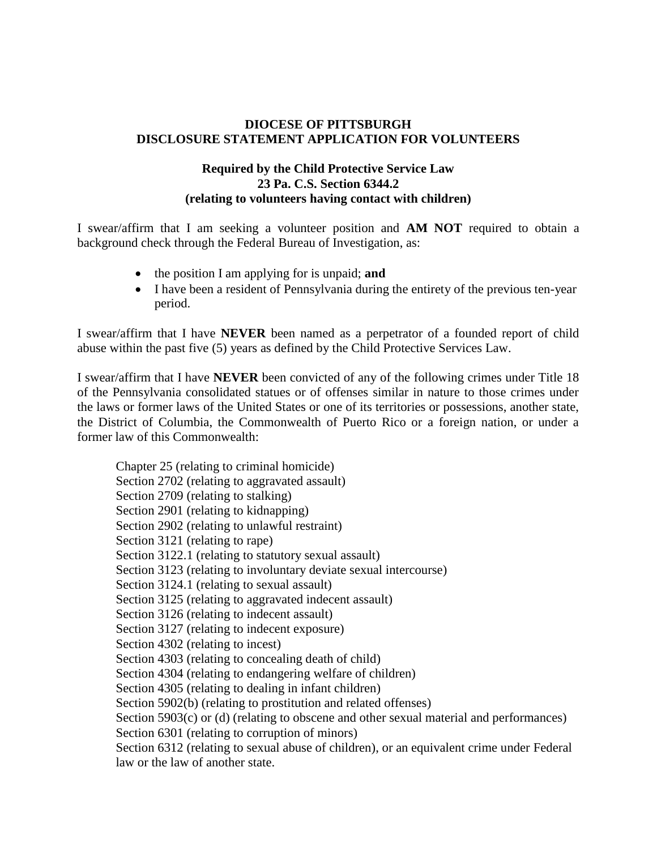## **DIOCESE OF PITTSBURGH DISCLOSURE STATEMENT APPLICATION FOR VOLUNTEERS**

## **Required by the Child Protective Service Law 23 Pa. C.S. Section 6344.2 (relating to volunteers having contact with children)**

I swear/affirm that I am seeking a volunteer position and **AM NOT** required to obtain a background check through the Federal Bureau of Investigation, as:

- the position I am applying for is unpaid; **and**
- I have been a resident of Pennsylvania during the entirety of the previous ten-year period.

I swear/affirm that I have **NEVER** been named as a perpetrator of a founded report of child abuse within the past five (5) years as defined by the Child Protective Services Law.

I swear/affirm that I have **NEVER** been convicted of any of the following crimes under Title 18 of the Pennsylvania consolidated statues or of offenses similar in nature to those crimes under the laws or former laws of the United States or one of its territories or possessions, another state, the District of Columbia, the Commonwealth of Puerto Rico or a foreign nation, or under a former law of this Commonwealth:

Chapter 25 (relating to criminal homicide) Section 2702 (relating to aggravated assault) Section 2709 (relating to stalking) Section 2901 (relating to kidnapping) Section 2902 (relating to unlawful restraint) Section 3121 (relating to rape) Section 3122.1 (relating to statutory sexual assault) Section 3123 (relating to involuntary deviate sexual intercourse) Section 3124.1 (relating to sexual assault) Section 3125 (relating to aggravated indecent assault) Section 3126 (relating to indecent assault) Section 3127 (relating to indecent exposure) Section 4302 (relating to incest) Section 4303 (relating to concealing death of child) Section 4304 (relating to endangering welfare of children) Section 4305 (relating to dealing in infant children) Section 5902(b) (relating to prostitution and related offenses) Section 5903(c) or (d) (relating to obscene and other sexual material and performances) Section 6301 (relating to corruption of minors) Section 6312 (relating to sexual abuse of children), or an equivalent crime under Federal law or the law of another state.